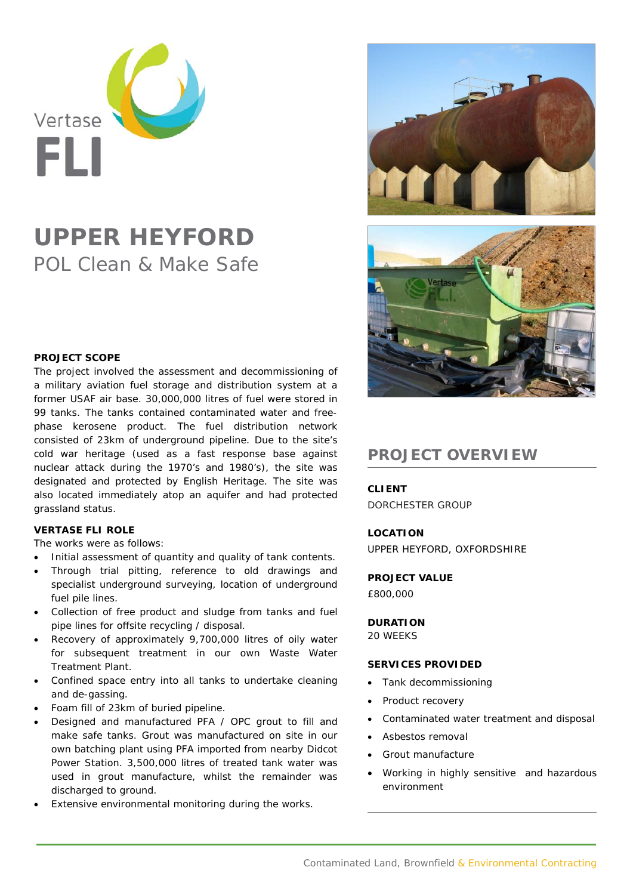

# **UPPER HEYFORD**  POL Clean & Make Safe

### **PROJECT SCOPE**

The project involved the assessment and decommissioning of a military aviation fuel storage and distribution system at a former USAF air base. 30,000,000 litres of fuel were stored in 99 tanks. The tanks contained contaminated water and freephase kerosene product. The fuel distribution network consisted of 23km of underground pipeline. Due to the site's cold war heritage (used as a fast response base against nuclear attack during the 1970's and 1980's), the site was designated and protected by English Heritage. The site was also located immediately atop an aquifer and had protected grassland status.

## **VERTASE FLI ROLE**

The works were as follows:

- Initial assessment of quantity and quality of tank contents.
- Through trial pitting, reference to old drawings and specialist underground surveying, location of underground fuel pile lines.
- Collection of free product and sludge from tanks and fuel pipe lines for offsite recycling / disposal.
- Recovery of approximately 9,700,000 litres of oily water for subsequent treatment in our own Waste Water Treatment Plant.
- Confined space entry into all tanks to undertake cleaning and de-gassing.
- Foam fill of 23km of buried pipeline.
- Designed and manufactured PFA / OPC grout to fill and make safe tanks. Grout was manufactured on site in our own batching plant using PFA imported from nearby Didcot Power Station. 3,500,000 litres of treated tank water was used in grout manufacture, whilst the remainder was discharged to ground.
- Extensive environmental monitoring during the works.





## **PROJECT OVERVIEW**

**CLIENT** 

DORCHESTER GROUP

## **LOCATION**

UPPER HEYFORD, OXFORDSHIRE

**PROJECT VALUE**  £800,000

**DURATION**  20 WEEKS

#### **SERVICES PROVIDED**

- Tank decommissioning
- Product recovery
- Contaminated water treatment and disposal
- Asbestos removal
- Grout manufacture
- Working in highly sensitive and hazardous environment